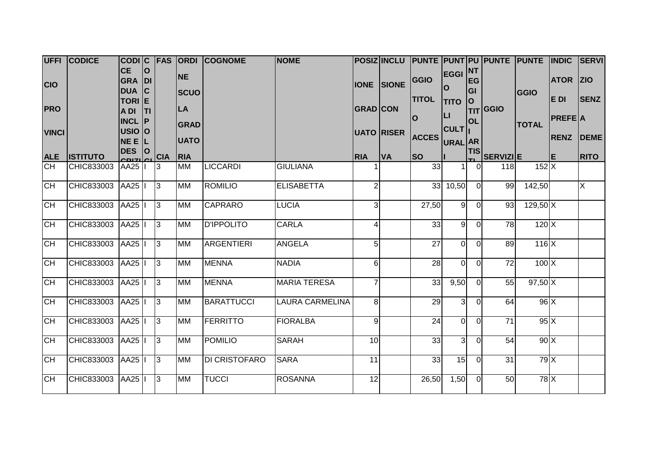|              | UFFI CODICE        | CODIC FAS                         |             |                | <b>ORDI</b>              | <b>COGNOME</b>    | <b>NOME</b>            |                 |                   |              |                      |                   | POSIZ INCLU PUNTE PUNT PU PUNTE PUNTE |              | <b>INDIC</b>     | <b>SERVI</b>            |
|--------------|--------------------|-----------------------------------|-------------|----------------|--------------------------|-------------------|------------------------|-----------------|-------------------|--------------|----------------------|-------------------|---------------------------------------|--------------|------------------|-------------------------|
| <b>CIO</b>   |                    | <b>CE</b><br>GRA DI<br><b>DUA</b> | lo<br> c    |                | <b>NE</b>                |                   |                        |                 | <b>IONE SIONE</b> | GGIO         | <b>EGGI NT</b><br>lO | <b>EG</b><br>lGI. |                                       |              | <b>ATOR ZIO</b>  |                         |
| <b>PRO</b>   |                    | TORI E<br>A DI                    | <b>ITI</b>  |                | <b>SCUO</b><br><b>LA</b> |                   |                        | <b>GRAD CON</b> |                   | <b>TITOL</b> | <b>TITO</b><br>Iц    | lO.               | <b>TIT</b> GGIO                       | GGIO         | E DI             | <b>SENZ</b>             |
| <b>VINCI</b> |                    | $INCL$ $ P $<br>USIO O            |             |                | <b>GRAD</b>              |                   |                        |                 | <b>UATO RISER</b> | lo           | <b>CULT</b>          | <b>OL</b>         |                                       | <b>TOTAL</b> | <b>PREFE A</b>   |                         |
|              |                    | NE E L                            |             |                | <b>UATO</b>              |                   |                        |                 |                   | <b>ACCES</b> | URAL AR              |                   |                                       |              | <b>RENZ DEME</b> |                         |
| <b>ALE</b>   | <b>ISTITUTO</b>    | <b>DES</b><br>דוחה                | $ 0\rangle$ | <b>CIA</b>     | <b>RIA</b>               |                   |                        | <b>RIA</b>      | <b>VA</b>         | <b>SO</b>    |                      | <b>TIS</b>        | SERVIZIE                              |              | IE.              | <b>RITO</b>             |
| CH           | CHIC833003         | AA25  I                           |             | l3             | <b>MM</b>                | <b>LICCARDI</b>   | <b>GIULIANA</b>        |                 |                   | 33           |                      |                   | 118                                   | 152X         |                  |                         |
| <b>CH</b>    | CHIC833003         | AA25  I                           |             | $\overline{3}$ | <b>MM</b>                | <b>ROMILIO</b>    | <b>ELISABETTA</b>      | $\overline{2}$  |                   |              | 33 10,50             | $\Omega$          | 99                                    | 142,50       |                  | $\overline{\mathsf{X}}$ |
| <b>CH</b>    | CHIC833003         | AA25  I                           |             | 3              | <b>MM</b>                | <b>CAPRARO</b>    | <b>LUCIA</b>           | $\overline{3}$  |                   | 27,50        | 9 <sub>l</sub>       | $\Omega$          | 93                                    | $129,50$ X   |                  |                         |
| <b>CH</b>    | CHIC833003         | AA25  I                           |             | l3             | <b>MM</b>                | <b>D'IPPOLITO</b> | <b>CARLA</b>           | $\overline{4}$  |                   | 33           | 9                    | $\Omega$          | 78                                    | $120$ $X$    |                  |                         |
| <b>CH</b>    | CHIC833003         | AA25                              |             | l3             | <b>MM</b>                | <b>ARGENTIERI</b> | <b>ANGELA</b>          | 5 <sup>1</sup>  |                   | 27           | $\overline{0}$       | $\Omega$          | 89                                    | $116$ $X$    |                  |                         |
| CH           | CHIC833003         | AA25  I                           |             | l3             | <b>MM</b>                | <b>MENNA</b>      | <b>NADIA</b>           | 6               |                   | 28           | $\overline{O}$       | $\Omega$          | 72                                    | $100 \times$ |                  |                         |
| <b>CH</b>    | CHIC833003         | AA25  I                           |             | l3             | <b>MM</b>                | <b>MENNA</b>      | <b>MARIA TERESA</b>    | $\overline{7}$  |                   | 33           | 9,50                 | $\Omega$          | 55                                    | $97,50$ X    |                  |                         |
| <b>CH</b>    | CHIC833003         | AA25  I                           |             | l3             | <b>MM</b>                | <b>BARATTUCCI</b> | <b>LAURA CARMELINA</b> | 8 <sup>1</sup>  |                   | 29           | $\overline{3}$       | $\Omega$          | 64                                    | 96X          |                  |                         |
| <b>CH</b>    | CHIC833003         | AA25  I                           |             | l3             | <b>MM</b>                | <b>FERRITTO</b>   | <b>FIORALBA</b>        | $\overline{9}$  |                   | 24           | <sub>0</sub>         | $\Omega$          | 71                                    | 95X          |                  |                         |
| <b>CH</b>    | CHIC833003         | AA25                              |             | l3             | <b>MM</b>                | <b>POMILIO</b>    | <b>SARAH</b>           | 10              |                   | 33           | $\overline{3}$       | $\Omega$          | 54                                    | 90X          |                  |                         |
| <b>CH</b>    | CHIC833003 AA25  I |                                   |             | 13             | <b>MM</b>                | DI CRISTOFARO     | <b>SARA</b>            | 11              |                   | 33           | 15                   | $\Omega$          | 31                                    | 79X          |                  |                         |
| CH           | CHIC833003 AA25  I |                                   |             | $\overline{3}$ | <b>MM</b>                | <b>TUCCI</b>      | <b>ROSANNA</b>         | 12              |                   | 26,50        | 1,50                 | $\Omega$          | 50                                    | $78$ $X$     |                  |                         |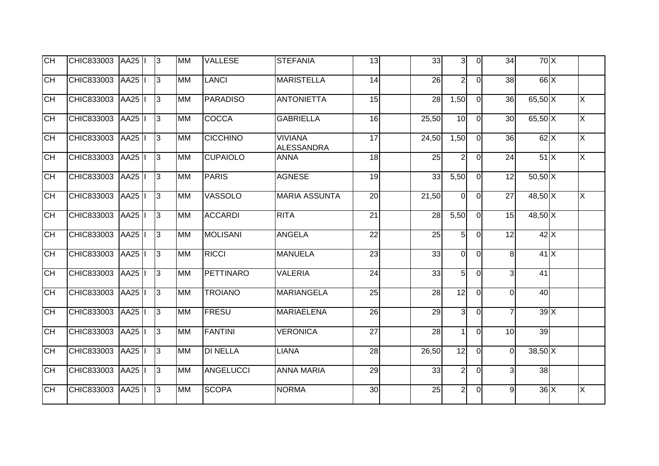| $\overline{CH}$ | CHIC833003        | AA25               | $\overline{3}$ | <b>MM</b> | <b>VALLESE</b>   | <b>STEFANIA</b>                     | 13              | 33    | 31             | $\Omega$       | 34             | 70X         |                         |
|-----------------|-------------------|--------------------|----------------|-----------|------------------|-------------------------------------|-----------------|-------|----------------|----------------|----------------|-------------|-------------------------|
| <b>CH</b>       | CHIC833003        | <b>AA25</b>        | $\overline{3}$ | <b>MM</b> | <b>LANCI</b>     | <b>MARISTELLA</b>                   | $\overline{14}$ | 26    | $\overline{2}$ | $\Omega$       | 38             | $66 \times$ |                         |
| <b>CH</b>       | CHIC833003        | <b>AA25</b>        | $\overline{3}$ | <b>MM</b> | <b>PARADISO</b>  | <b>ANTONIETTA</b>                   | 15              | 28    | 1,50           | $\Omega$       | 36             | $65,50$ X   | $\times$                |
| <b>CH</b>       | CHIC833003        | <b>AA25</b>        | $\overline{3}$ | <b>MM</b> | COCCA            | <b>GABRIELLA</b>                    | 16              | 25,50 | 10             | $\overline{O}$ | 30             | $65,50$ X   | $\overline{\mathsf{x}}$ |
| <b>CH</b>       | CHIC833003        | <b>AA25</b>        | $\overline{3}$ | <b>MM</b> | <b>CICCHINO</b>  | <b>VIVIANA</b><br><b>ALESSANDRA</b> | $\overline{17}$ | 24,50 | 1,50           | $\overline{0}$ | 36             | $62$ X      | X                       |
| <b>CH</b>       | CHIC833003        | AA25               | $\overline{3}$ | <b>MM</b> | <b>CUPAIOLO</b>  | <b>ANNA</b>                         | $\frac{1}{8}$   | 25    | 2 <sup>1</sup> | $\overline{0}$ | 24             | 51X         | $\overline{\mathsf{x}}$ |
| <b>CH</b>       | CHIC833003        | $\overline{A}$ A25 | $\overline{3}$ | <b>MM</b> | <b>PARIS</b>     | <b>AGNESE</b>                       | 19              | 33    | 5,50           | $\overline{0}$ | 12             | $50,50$ X   |                         |
| <b>CH</b>       | CHIC833003        | <b>AA25</b>        | $\overline{3}$ | <b>MM</b> | <b>VASSOLO</b>   | <b>MARIA ASSUNTA</b>                | 20              | 21,50 | $\overline{0}$ | $\overline{0}$ | 27             | 48,50 X     | $\times$                |
| <b>CH</b>       | CHIC833003        | AA25               | $\vert$ 3      | <b>MM</b> | <b>ACCARDI</b>   | <b>RITA</b>                         | 21              | 28    | 5,50           | $\overline{0}$ | 15             | 48,50 X     |                         |
| <b>CH</b>       | CHIC833003        | <b>AA25</b>        | $\vert$ 3      | <b>MM</b> | <b>MOLISANI</b>  | <b>ANGELA</b>                       | 22              | 25    | 5 <sup>1</sup> | $\Omega$       | 12             | 42X         |                         |
| <b>CH</b>       | CHIC833003        | AA25               | $\vert$ 3      | <b>MM</b> | <b>RICCI</b>     | <b>MANUELA</b>                      | 23              | 33    | $\overline{0}$ | $\overline{0}$ | 8 <sup>1</sup> | 41X         |                         |
| <b>CH</b>       | CHIC833003        | AA25               | $\overline{3}$ | <b>MM</b> | <b>PETTINARO</b> | <b>VALERIA</b>                      | 24              | 33    | 5 <sub>l</sub> | $\Omega$       | $\overline{3}$ | 41          |                         |
| <b>CH</b>       | CHIC833003        | <b>AA25</b>        | $\overline{3}$ | <b>MM</b> | <b>TROIANO</b>   | <b>MARIANGELA</b>                   | 25              | 28    | 12             | $\overline{0}$ | $\mathbf 0$    | 40          |                         |
| <b>CH</b>       | CHIC833003        | AA25               | $\vert$ 3      | <b>MM</b> | <b>FRESU</b>     | <b>MARIAELENA</b>                   | 26              | 29    | 3 <sub>l</sub> | $\overline{0}$ | $\overline{7}$ | 39X         |                         |
| <b>CH</b>       | CHIC833003        | <b>AA25</b>        | $\overline{3}$ | <b>MM</b> | <b>FANTINI</b>   | <b>VERONICA</b>                     | $\overline{27}$ | 28    | $\mathbf 1$    | $\Omega$       | 10             | 39          |                         |
| <b>CH</b>       | CHIC833003        | AA25               | $\overline{3}$ | <b>MM</b> | <b>DI NELLA</b>  | <b>LIANA</b>                        | 28              | 26,50 | 12             | $\overline{O}$ | $\mathbf 0$    | $38,50$ X   |                         |
| <b>CH</b>       | <b>CHIC833003</b> | AA25               | $\overline{3}$ | <b>MM</b> | <b>ANGELUCCI</b> | <b>ANNA MARIA</b>                   | 29              | 33    | $\overline{2}$ | $\overline{0}$ | 3              | 38          |                         |
| <b>CH</b>       | CHIC833003        | <b>AA25</b>        | $\overline{3}$ | <b>MM</b> | <b>SCOPA</b>     | <b>NORMA</b>                        | 30              | 25    | 2              | 0              | 9              | $36 \times$ | $\times$                |